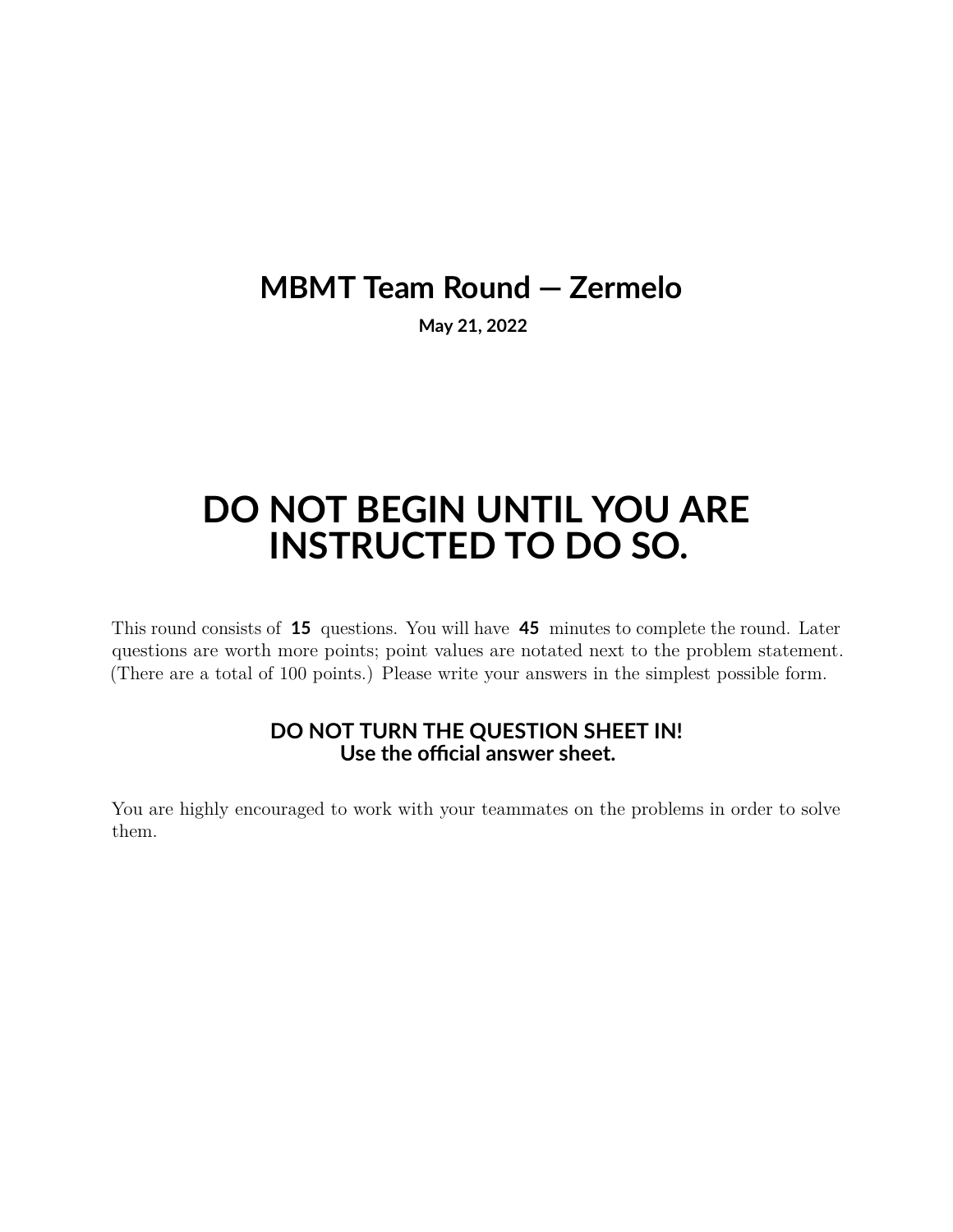## **MBMT Team Round — Zermelo**

**May 21, 2022**

## **DO NOT BEGIN UNTIL YOU ARE INSTRUCTED TO DO SO.**

This round consists of **15** questions. You will have **45** minutes to complete the round. Later questions are worth more points; point values are notated next to the problem statement. (There are a total of 100 points.) Please write your answers in the simplest possible form.

## **DO NOT TURN THE QUESTION SHEET IN! Use the official answer sheet.**

You are highly encouraged to work with your teammates on the problems in order to solve them.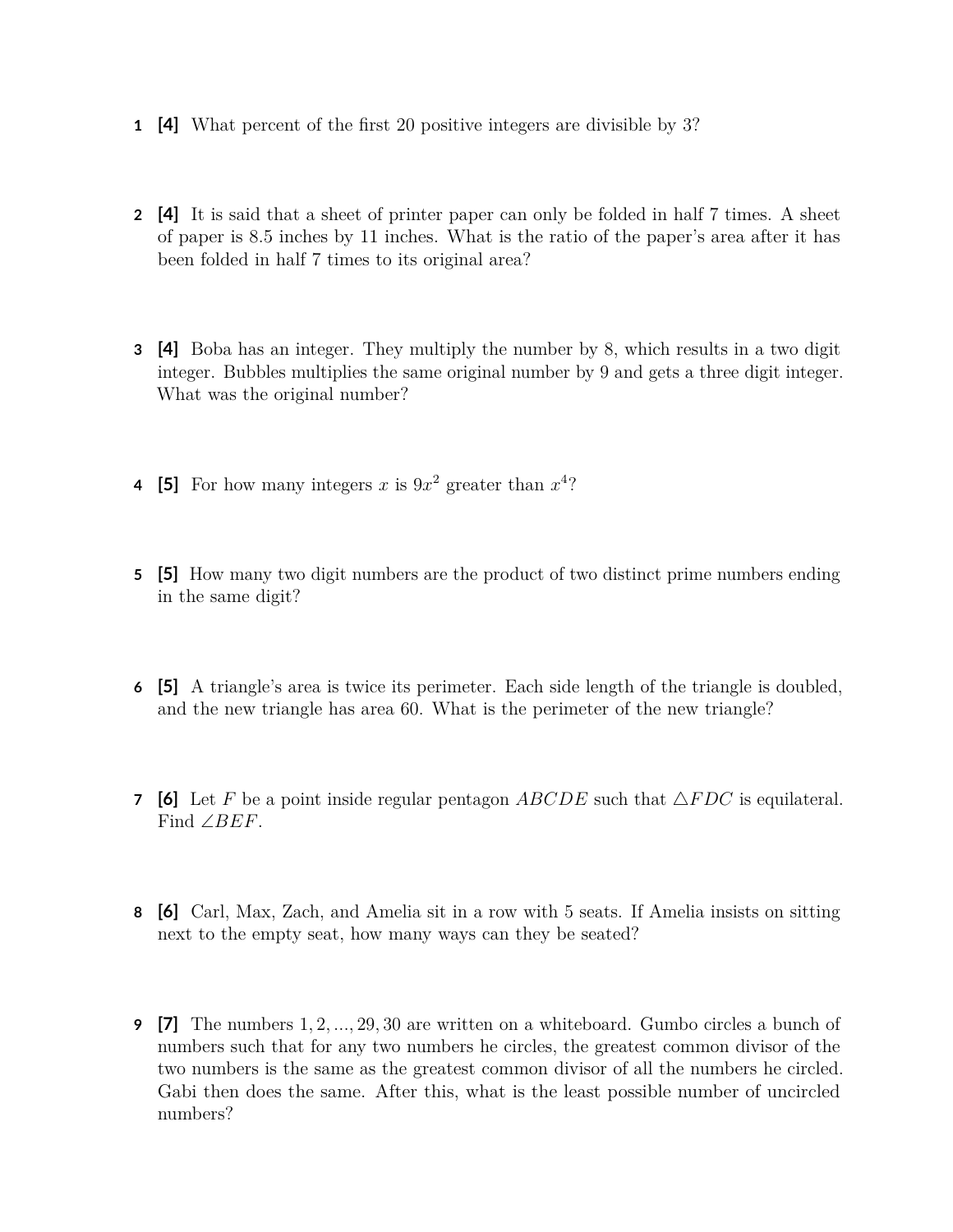- **1 [4]** What percent of the first 20 positive integers are divisible by 3?
- **2 [4]** It is said that a sheet of printer paper can only be folded in half 7 times. A sheet of paper is 8.5 inches by 11 inches. What is the ratio of the paper's area after it has been folded in half 7 times to its original area?
- **3 [4]** Boba has an integer. They multiply the number by 8, which results in a two digit integer. Bubbles multiplies the same original number by 9 and gets a three digit integer. What was the original number?
- **4** [5] For how many integers *x* is  $9x^2$  greater than  $x^4$ ?
- **5 [5]** How many two digit numbers are the product of two distinct prime numbers ending in the same digit?
- **6 [5]** A triangle's area is twice its perimeter. Each side length of the triangle is doubled, and the new triangle has area 60. What is the perimeter of the new triangle?
- **7 [6]** Let *F* be a point inside regular pentagon *ABCDE* such that  $\triangle FDC$  is equilateral. Find ∠*BEF*.
- **8 [6]** Carl, Max, Zach, and Amelia sit in a row with 5 seats. If Amelia insists on sitting next to the empty seat, how many ways can they be seated?
- **9 [7]** The numbers 1*,* 2*, ...,* 29*,* 30 are written on a whiteboard. Gumbo circles a bunch of numbers such that for any two numbers he circles, the greatest common divisor of the two numbers is the same as the greatest common divisor of all the numbers he circled. Gabi then does the same. After this, what is the least possible number of uncircled numbers?